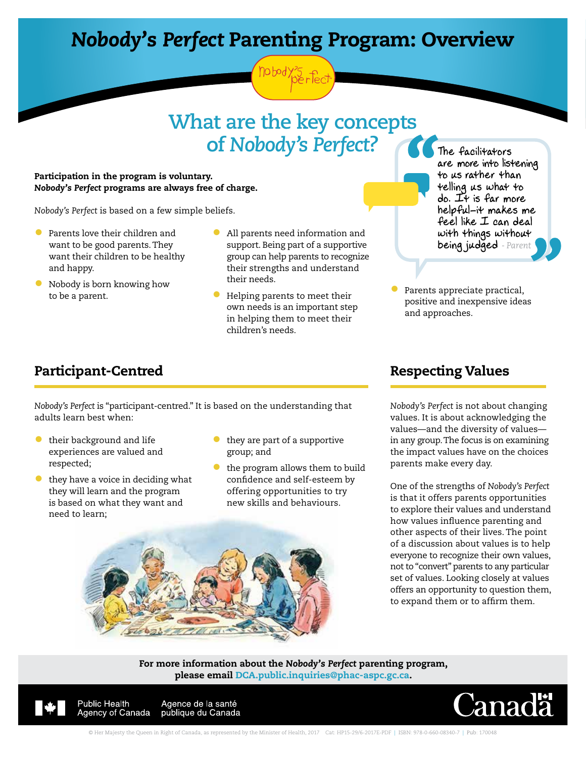# *Nobody's Perfect* Parenting Program: Overview

# **What are the key concepts of** *Nobody's Perfect***?**

#### Participation in the program is voluntary. *Nobody's Perfect* programs are always free of charge.

*Nobody's Perfect* is based on a few simple beliefs.

- Parents love their children and want to be good parents. They want their children to be healthy and happy.
- Nobody is born knowing how to be a parent.
- All parents need information and support. Being part of a supportive group can help parents to recognize their strengths and understand their needs.
- Helping parents to meet their own needs is an important step in helping them to meet their children's needs.

The facilitators are more into listening to us rather than telling us what to do. It is far more helpful-it makes me feel like I can deal with things without being judged *- Parent*

Parents appreciate practical, positive and inexpensive ideas and approaches.

### Participant-Centred

*Nobody's Perfect* is "participant-centred." It is based on the understanding that adults learn best when:

- their background and life experiences are valued and respected;
- they have a voice in deciding what they will learn and the program is based on what they want and need to learn;
- they are part of a supportive group; and
- the program allows them to build confidence and self-esteem by offering opportunities to try new skills and behaviours.



*Nobody's Perfect* is not about changing values. It is about acknowledging the values—and the diversity of values in any group. The focus is on examining the impact values have on the choices parents make every day.

One of the strengths of *Nobody's Perfect* is that it offers parents opportunities to explore their values and understand how values influence parenting and other aspects of their lives. The point of a discussion about values is to help everyone to recognize their own values, not to "convert" parents to any particular set of values. Looking closely at values offers an opportunity to question them, to expand them or to affirm them.



For more information about the *Nobody's Perfect* parenting program, please email DCA.public.inquiries@phac-aspc.gc.ca.



**Public Health** Agence de la santé publique du Canada Agency of Canada